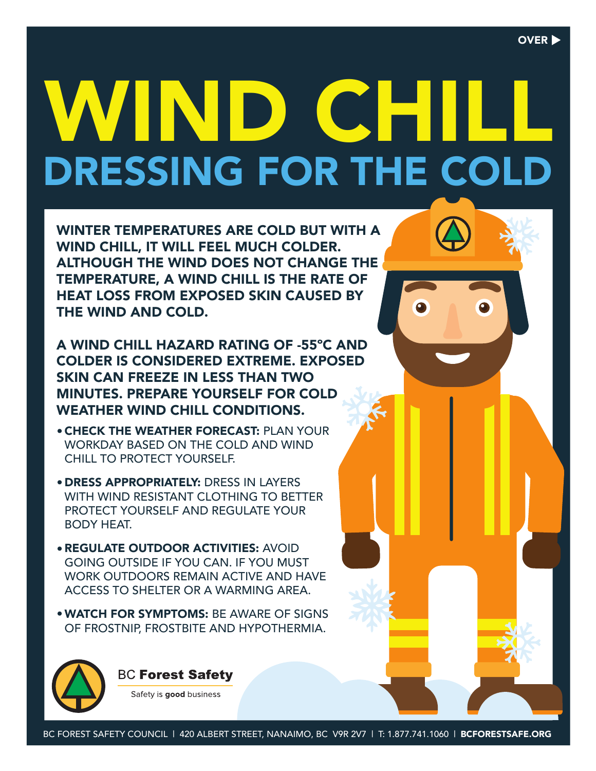## DRESSING FOR THE COLD WIND CHIL

WINTER TEMPERATURES ARE COLD BUT WITH A WIND CHILL, IT WILL FEEL MUCH COLDER. ALTHOUGH THE WIND DOES NOT CHANGE THE TEMPERATURE, A WIND CHILL IS THE RATE OF HEAT LOSS FROM EXPOSED SKIN CAUSED BY THE WIND AND COLD.

A WIND CHILL HAZARD RATING OF -55ºC AND COLDER IS CONSIDERED EXTREME. EXPOSED SKIN CAN FREEZE IN LESS THAN TWO MINUTES. PREPARE YOURSELF FOR COLD WEATHER WIND CHILL CONDITIONS.

- CHECK THE WEATHER FORECAST: PLAN YOUR WORKDAY BASED ON THE COLD AND WIND CHILL TO PROTECT YOURSELF.
- DRESS APPROPRIATELY: DRESS IN LAYERS WITH WIND RESISTANT CLOTHING TO BETTER PROTECT YOURSELF AND REGULATE YOUR BODY HEAT.
- REGULATE OUTDOOR ACTIVITIES: AVOID GOING OUTSIDE IF YOU CAN. IF YOU MUST WORK OUTDOORS REMAIN ACTIVE AND HAVE ACCESS TO SHELTER OR A WARMING AREA.
- WATCH FOR SYMPTOMS: BE AWARE OF SIGNS OF FROSTNIP, FROSTBITE AND HYPOTHERMIA.



**BC Forest Safety** 

Safety is good business